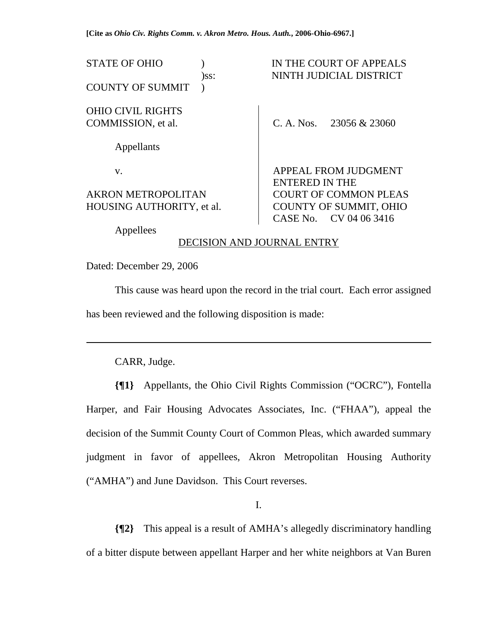**[Cite as** *Ohio Civ. Rights Comm. v. Akron Metro. Hous. Auth.***, 2006-Ohio-6967.]**

STATE OF OHIO ) IN THE COURT OF APPEALS

COUNTY OF SUMMIT )

## OHIO CIVIL RIGHTS COMMISSION, et al.

Appellants

v.

#### AKRON METROPOLITAN HOUSING AUTHORITY, et al.

)ss: NINTH JUDICIAL DISTRICT

C. A. Nos. 23056 & 23060

APPEAL FROM JUDGMENT ENTERED IN THE COURT OF COMMON PLEAS COUNTY OF SUMMIT, OHIO CASE No. CV 04 06 3416

Appellees

## DECISION AND JOURNAL ENTRY

Dated: December 29, 2006

 This cause was heard upon the record in the trial court. Each error assigned has been reviewed and the following disposition is made:

CARR, Judge.

l

**{¶1}** Appellants, the Ohio Civil Rights Commission ("OCRC"), Fontella Harper, and Fair Housing Advocates Associates, Inc. ("FHAA"), appeal the decision of the Summit County Court of Common Pleas, which awarded summary judgment in favor of appellees, Akron Metropolitan Housing Authority ("AMHA") and June Davidson. This Court reverses.

I.

**{¶2}** This appeal is a result of AMHA's allegedly discriminatory handling of a bitter dispute between appellant Harper and her white neighbors at Van Buren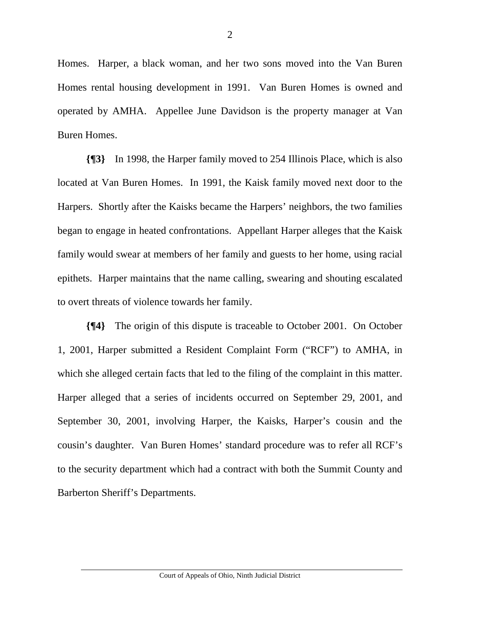Homes. Harper, a black woman, and her two sons moved into the Van Buren Homes rental housing development in 1991. Van Buren Homes is owned and operated by AMHA. Appellee June Davidson is the property manager at Van Buren Homes.

**{¶3}** In 1998, the Harper family moved to 254 Illinois Place, which is also located at Van Buren Homes. In 1991, the Kaisk family moved next door to the Harpers. Shortly after the Kaisks became the Harpers' neighbors, the two families began to engage in heated confrontations. Appellant Harper alleges that the Kaisk family would swear at members of her family and guests to her home, using racial epithets. Harper maintains that the name calling, swearing and shouting escalated to overt threats of violence towards her family.

**{¶4}** The origin of this dispute is traceable to October 2001. On October 1, 2001, Harper submitted a Resident Complaint Form ("RCF") to AMHA, in which she alleged certain facts that led to the filing of the complaint in this matter. Harper alleged that a series of incidents occurred on September 29, 2001, and September 30, 2001, involving Harper, the Kaisks, Harper's cousin and the cousin's daughter. Van Buren Homes' standard procedure was to refer all RCF's to the security department which had a contract with both the Summit County and Barberton Sheriff's Departments.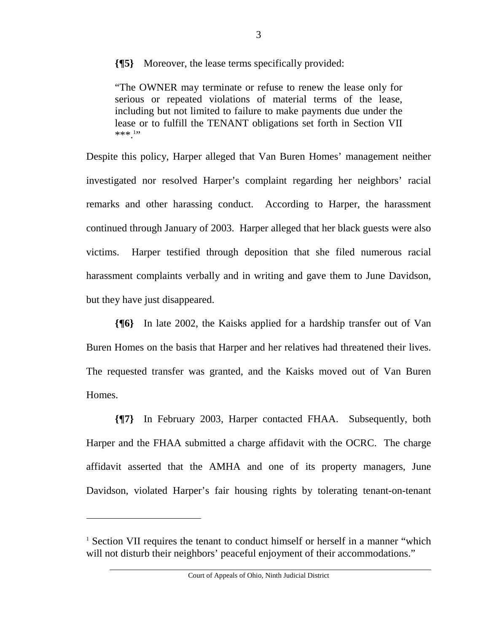**{¶5}** Moreover, the lease terms specifically provided:

"The OWNER may terminate or refuse to renew the lease only for serious or repeated violations of material terms of the lease, including but not limited to failure to make payments due under the lease or to fulfill the TENANT obligations set forth in Section VII  $***$ .<sup>1</sup>"

Despite this policy, Harper alleged that Van Buren Homes' management neither investigated nor resolved Harper's complaint regarding her neighbors' racial remarks and other harassing conduct. According to Harper, the harassment continued through January of 2003. Harper alleged that her black guests were also victims. Harper testified through deposition that she filed numerous racial harassment complaints verbally and in writing and gave them to June Davidson, but they have just disappeared.

**{¶6}** In late 2002, the Kaisks applied for a hardship transfer out of Van Buren Homes on the basis that Harper and her relatives had threatened their lives. The requested transfer was granted, and the Kaisks moved out of Van Buren Homes.

**{¶7}** In February 2003, Harper contacted FHAA. Subsequently, both Harper and the FHAA submitted a charge affidavit with the OCRC. The charge affidavit asserted that the AMHA and one of its property managers, June Davidson, violated Harper's fair housing rights by tolerating tenant-on-tenant

 $\overline{a}$ 

<sup>&</sup>lt;sup>1</sup> Section VII requires the tenant to conduct himself or herself in a manner "which will not disturb their neighbors' peaceful enjoyment of their accommodations."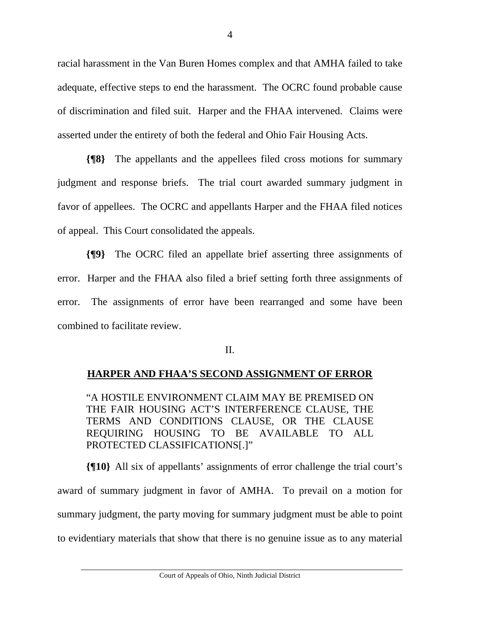racial harassment in the Van Buren Homes complex and that AMHA failed to take adequate, effective steps to end the harassment. The OCRC found probable cause of discrimination and filed suit. Harper and the FHAA intervened. Claims were asserted under the entirety of both the federal and Ohio Fair Housing Acts.

**{¶8}** The appellants and the appellees filed cross motions for summary judgment and response briefs. The trial court awarded summary judgment in favor of appellees. The OCRC and appellants Harper and the FHAA filed notices of appeal. This Court consolidated the appeals.

**{¶9}** The OCRC filed an appellate brief asserting three assignments of error. Harper and the FHAA also filed a brief setting forth three assignments of error. The assignments of error have been rearranged and some have been combined to facilitate review.

#### II.

## **HARPER AND FHAA'S SECOND ASSIGNMENT OF ERROR**

"A HOSTILE ENVIRONMENT CLAIM MAY BE PREMISED ON THE FAIR HOUSING ACT'S INTERFERENCE CLAUSE, THE TERMS AND CONDITIONS CLAUSE, OR THE CLAUSE REQUIRING HOUSING TO BE AVAILABLE TO ALL PROTECTED CLASSIFICATIONS[.]"

**{¶10}** All six of appellants' assignments of error challenge the trial court's award of summary judgment in favor of AMHA. To prevail on a motion for summary judgment, the party moving for summary judgment must be able to point to evidentiary materials that show that there is no genuine issue as to any material

Court of Appeals of Ohio, Ninth Judicial District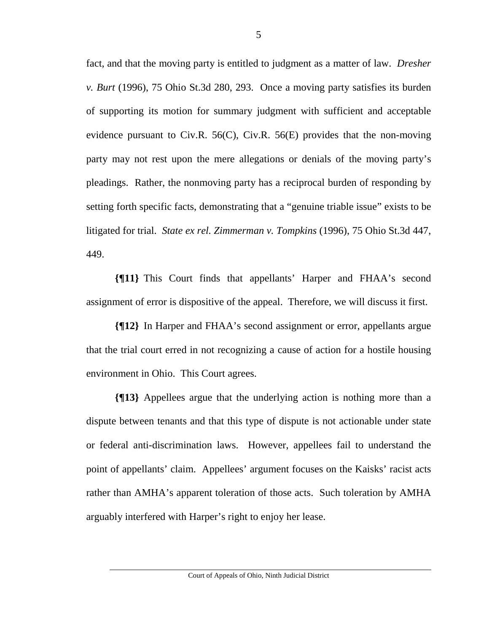fact, and that the moving party is entitled to judgment as a matter of law. *Dresher v. Burt* (1996), 75 Ohio St.3d 280, 293. Once a moving party satisfies its burden of supporting its motion for summary judgment with sufficient and acceptable evidence pursuant to Civ.R. 56(C), Civ.R. 56(E) provides that the non-moving party may not rest upon the mere allegations or denials of the moving party's pleadings. Rather, the nonmoving party has a reciprocal burden of responding by setting forth specific facts, demonstrating that a "genuine triable issue" exists to be litigated for trial. *State ex rel. Zimmerman v. Tompkins* (1996), 75 Ohio St.3d 447, 449.

**{¶11}** This Court finds that appellants' Harper and FHAA's second assignment of error is dispositive of the appeal. Therefore, we will discuss it first.

**{¶12}** In Harper and FHAA's second assignment or error, appellants argue that the trial court erred in not recognizing a cause of action for a hostile housing environment in Ohio. This Court agrees.

**{¶13}** Appellees argue that the underlying action is nothing more than a dispute between tenants and that this type of dispute is not actionable under state or federal anti-discrimination laws. However, appellees fail to understand the point of appellants' claim. Appellees' argument focuses on the Kaisks' racist acts rather than AMHA's apparent toleration of those acts. Such toleration by AMHA arguably interfered with Harper's right to enjoy her lease.

Court of Appeals of Ohio, Ninth Judicial District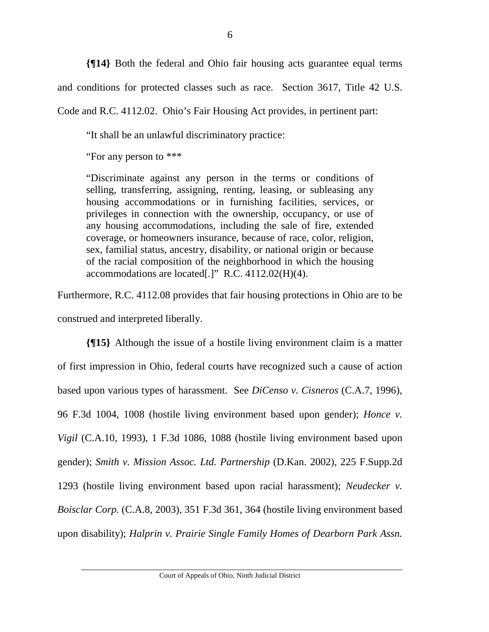**{¶14}** Both the federal and Ohio fair housing acts guarantee equal terms and conditions for protected classes such as race. Section 3617, Title 42 U.S.

Code and R.C. 4112.02. Ohio's Fair Housing Act provides, in pertinent part:

"It shall be an unlawful discriminatory practice:

"For any person to \*\*\*

"Discriminate against any person in the terms or conditions of selling, transferring, assigning, renting, leasing, or subleasing any housing accommodations or in furnishing facilities, services, or privileges in connection with the ownership, occupancy, or use of any housing accommodations, including the sale of fire, extended coverage, or homeowners insurance, because of race, color, religion, sex, familial status, ancestry, disability, or national origin or because of the racial composition of the neighborhood in which the housing accommodations are located[.]"  $R.C. 4112.02(H)(4)$ .

Furthermore, R.C. 4112.08 provides that fair housing protections in Ohio are to be construed and interpreted liberally.

**{¶15}** Although the issue of a hostile living environment claim is a matter of first impression in Ohio, federal courts have recognized such a cause of action based upon various types of harassment. See *DiCenso v. Cisneros* (C.A.7, 1996), 96 F.3d 1004, 1008 (hostile living environment based upon gender); *Honce v. Vigil* (C.A.10, 1993), 1 F.3d 1086, 1088 (hostile living environment based upon gender); *Smith v. Mission Assoc. Ltd. Partnership* (D.Kan. 2002), 225 F.Supp.2d 1293 (hostile living environment based upon racial harassment); *Neudecker v. Boisclar Corp.* (C.A.8, 2003), 351 F.3d 361, 364 (hostile living environment based upon disability); *Halprin v. Prairie Single Family Homes of Dearborn Park Assn.*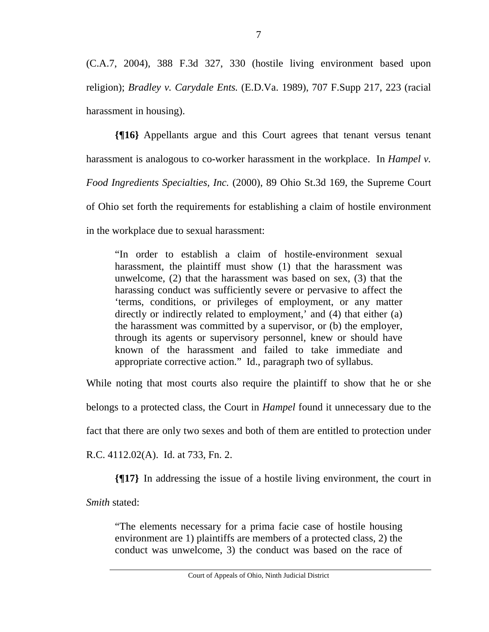(C.A.7, 2004), 388 F.3d 327, 330 (hostile living environment based upon religion); *Bradley v. Carydale Ents.* (E.D.Va. 1989), 707 F.Supp 217, 223 (racial harassment in housing).

**{¶16}** Appellants argue and this Court agrees that tenant versus tenant harassment is analogous to co-worker harassment in the workplace. In *Hampel v. Food Ingredients Specialties, Inc.* (2000), 89 Ohio St.3d 169, the Supreme Court of Ohio set forth the requirements for establishing a claim of hostile environment in the workplace due to sexual harassment:

"In order to establish a claim of hostile-environment sexual harassment, the plaintiff must show (1) that the harassment was unwelcome, (2) that the harassment was based on sex, (3) that the harassing conduct was sufficiently severe or pervasive to affect the 'terms, conditions, or privileges of employment, or any matter directly or indirectly related to employment,' and (4) that either (a) the harassment was committed by a supervisor, or (b) the employer, through its agents or supervisory personnel, knew or should have known of the harassment and failed to take immediate and appropriate corrective action." Id., paragraph two of syllabus.

While noting that most courts also require the plaintiff to show that he or she belongs to a protected class, the Court in *Hampel* found it unnecessary due to the fact that there are only two sexes and both of them are entitled to protection under R.C. 4112.02(A). Id. at 733, Fn. 2.

**{¶17}** In addressing the issue of a hostile living environment, the court in

*Smith* stated:

"The elements necessary for a prima facie case of hostile housing environment are 1) plaintiffs are members of a protected class, 2) the conduct was unwelcome, 3) the conduct was based on the race of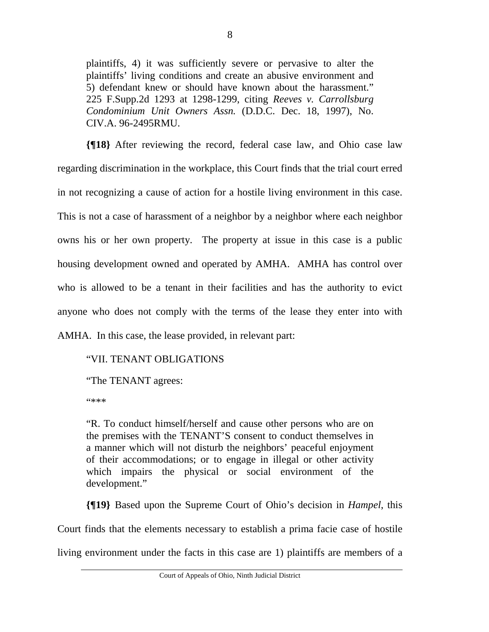plaintiffs, 4) it was sufficiently severe or pervasive to alter the plaintiffs' living conditions and create an abusive environment and 5) defendant knew or should have known about the harassment." 225 F.Supp.2d 1293 at 1298-1299, citing *Reeves v. Carrollsburg Condominium Unit Owners Assn.* (D.D.C. Dec. 18, 1997), No. CIV.A. 96-2495RMU.

**{¶18}** After reviewing the record, federal case law, and Ohio case law regarding discrimination in the workplace, this Court finds that the trial court erred in not recognizing a cause of action for a hostile living environment in this case. This is not a case of harassment of a neighbor by a neighbor where each neighbor owns his or her own property. The property at issue in this case is a public housing development owned and operated by AMHA. AMHA has control over who is allowed to be a tenant in their facilities and has the authority to evict anyone who does not comply with the terms of the lease they enter into with AMHA. In this case, the lease provided, in relevant part:

## "VII. TENANT OBLIGATIONS

"The TENANT agrees:

"\*\*\*

"R. To conduct himself/herself and cause other persons who are on the premises with the TENANT'S consent to conduct themselves in a manner which will not disturb the neighbors' peaceful enjoyment of their accommodations; or to engage in illegal or other activity which impairs the physical or social environment of the development."

**{¶19}** Based upon the Supreme Court of Ohio's decision in *Hampel*, this

Court finds that the elements necessary to establish a prima facie case of hostile

living environment under the facts in this case are 1) plaintiffs are members of a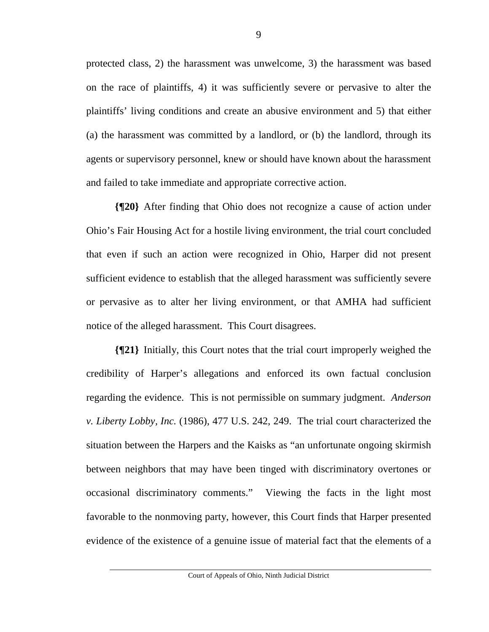protected class, 2) the harassment was unwelcome, 3) the harassment was based on the race of plaintiffs, 4) it was sufficiently severe or pervasive to alter the plaintiffs' living conditions and create an abusive environment and 5) that either (a) the harassment was committed by a landlord, or (b) the landlord, through its agents or supervisory personnel, knew or should have known about the harassment and failed to take immediate and appropriate corrective action.

**{¶20}** After finding that Ohio does not recognize a cause of action under Ohio's Fair Housing Act for a hostile living environment, the trial court concluded that even if such an action were recognized in Ohio, Harper did not present sufficient evidence to establish that the alleged harassment was sufficiently severe or pervasive as to alter her living environment, or that AMHA had sufficient notice of the alleged harassment. This Court disagrees.

**{¶21}** Initially, this Court notes that the trial court improperly weighed the credibility of Harper's allegations and enforced its own factual conclusion regarding the evidence. This is not permissible on summary judgment. *Anderson v. Liberty Lobby, Inc.* (1986), 477 U.S. 242, 249. The trial court characterized the situation between the Harpers and the Kaisks as "an unfortunate ongoing skirmish between neighbors that may have been tinged with discriminatory overtones or occasional discriminatory comments." Viewing the facts in the light most favorable to the nonmoving party, however, this Court finds that Harper presented evidence of the existence of a genuine issue of material fact that the elements of a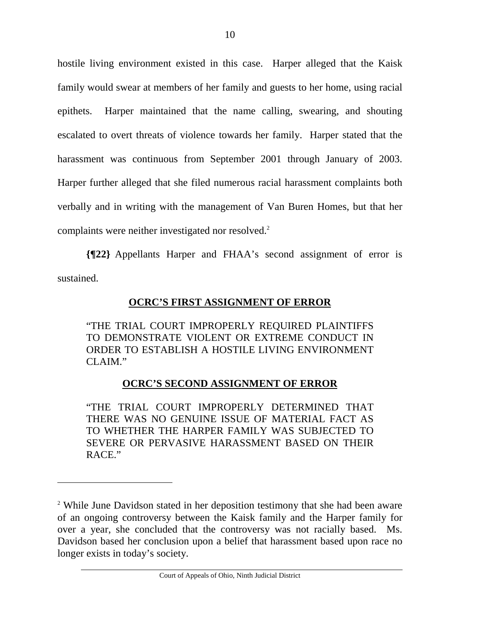hostile living environment existed in this case. Harper alleged that the Kaisk family would swear at members of her family and guests to her home, using racial epithets. Harper maintained that the name calling, swearing, and shouting escalated to overt threats of violence towards her family. Harper stated that the harassment was continuous from September 2001 through January of 2003. Harper further alleged that she filed numerous racial harassment complaints both verbally and in writing with the management of Van Buren Homes, but that her complaints were neither investigated nor resolved.<sup>2</sup>

**{¶22}** Appellants Harper and FHAA's second assignment of error is sustained.

**OCRC'S FIRST ASSIGNMENT OF ERROR**

"THE TRIAL COURT IMPROPERLY REQUIRED PLAINTIFFS TO DEMONSTRATE VIOLENT OR EXTREME CONDUCT IN ORDER TO ESTABLISH A HOSTILE LIVING ENVIRONMENT CLAIM."

## **OCRC'S SECOND ASSIGNMENT OF ERROR**

"THE TRIAL COURT IMPROPERLY DETERMINED THAT THERE WAS NO GENUINE ISSUE OF MATERIAL FACT AS TO WHETHER THE HARPER FAMILY WAS SUBJECTED TO SEVERE OR PERVASIVE HARASSMENT BASED ON THEIR RACE."

 $\overline{a}$ 

<sup>&</sup>lt;sup>2</sup> While June Davidson stated in her deposition testimony that she had been aware of an ongoing controversy between the Kaisk family and the Harper family for over a year, she concluded that the controversy was not racially based. Ms. Davidson based her conclusion upon a belief that harassment based upon race no longer exists in today's society.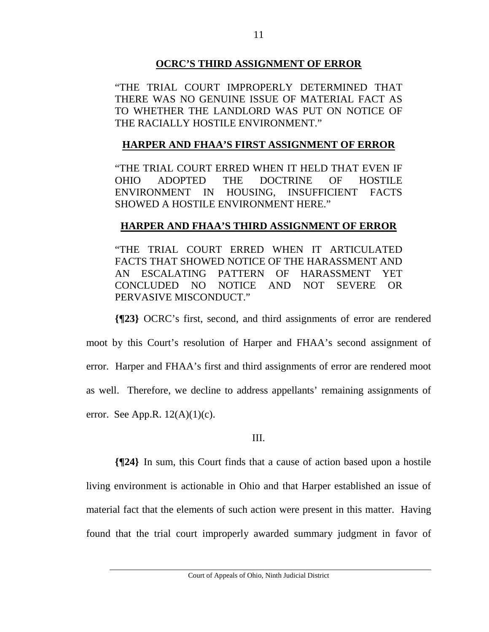## **OCRC'S THIRD ASSIGNMENT OF ERROR**

"THE TRIAL COURT IMPROPERLY DETERMINED THAT THERE WAS NO GENUINE ISSUE OF MATERIAL FACT AS TO WHETHER THE LANDLORD WAS PUT ON NOTICE OF THE RACIALLY HOSTILE ENVIRONMENT."

# **HARPER AND FHAA'S FIRST ASSIGNMENT OF ERROR**

"THE TRIAL COURT ERRED WHEN IT HELD THAT EVEN IF OHIO ADOPTED THE DOCTRINE OF HOSTILE ENVIRONMENT IN HOUSING, INSUFFICIENT FACTS SHOWED A HOSTILE ENVIRONMENT HERE."

# **HARPER AND FHAA'S THIRD ASSIGNMENT OF ERROR**

"THE TRIAL COURT ERRED WHEN IT ARTICULATED FACTS THAT SHOWED NOTICE OF THE HARASSMENT AND AN ESCALATING PATTERN OF HARASSMENT YET CONCLUDED NO NOTICE AND NOT SEVERE OR PERVASIVE MISCONDUCT."

**{¶23}** OCRC's first, second, and third assignments of error are rendered moot by this Court's resolution of Harper and FHAA's second assignment of error. Harper and FHAA's first and third assignments of error are rendered moot as well. Therefore, we decline to address appellants' remaining assignments of error. See App.R.  $12(A)(1)(c)$ .

## III.

**{¶24}** In sum, this Court finds that a cause of action based upon a hostile living environment is actionable in Ohio and that Harper established an issue of material fact that the elements of such action were present in this matter. Having found that the trial court improperly awarded summary judgment in favor of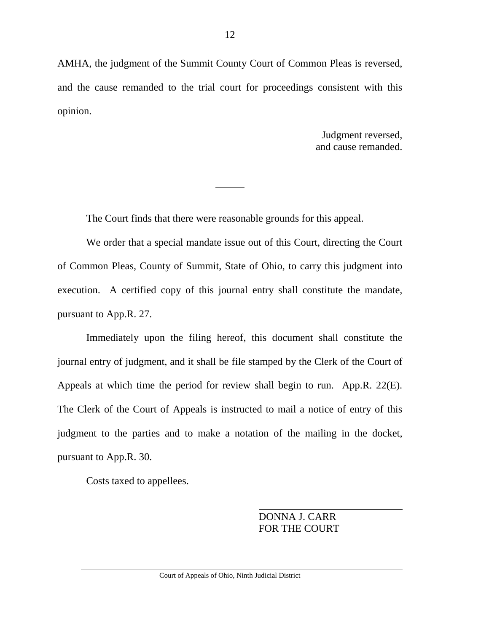AMHA, the judgment of the Summit County Court of Common Pleas is reversed, and the cause remanded to the trial court for proceedings consistent with this opinion.

> Judgment reversed, and cause remanded.

The Court finds that there were reasonable grounds for this appeal.

 We order that a special mandate issue out of this Court, directing the Court of Common Pleas, County of Summit, State of Ohio, to carry this judgment into execution. A certified copy of this journal entry shall constitute the mandate, pursuant to App.R. 27.

 Immediately upon the filing hereof, this document shall constitute the journal entry of judgment, and it shall be file stamped by the Clerk of the Court of Appeals at which time the period for review shall begin to run. App.R. 22(E). The Clerk of the Court of Appeals is instructed to mail a notice of entry of this judgment to the parties and to make a notation of the mailing in the docket, pursuant to App.R. 30.

Costs taxed to appellees.

 DONNA J. CARR FOR THE COURT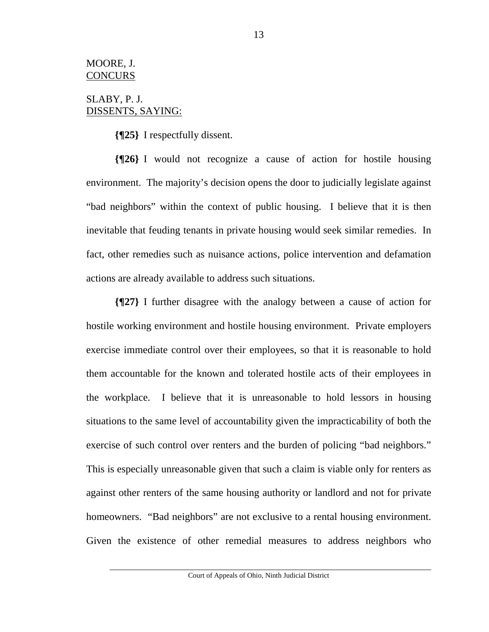#### MOORE, J. **CONCURS**

## SLABY, P. J. DISSENTS, SAYING:

**{¶25}** I respectfully dissent.

**{¶26}** I would not recognize a cause of action for hostile housing environment. The majority's decision opens the door to judicially legislate against "bad neighbors" within the context of public housing. I believe that it is then inevitable that feuding tenants in private housing would seek similar remedies. In fact, other remedies such as nuisance actions, police intervention and defamation actions are already available to address such situations.

**{¶27}** I further disagree with the analogy between a cause of action for hostile working environment and hostile housing environment. Private employers exercise immediate control over their employees, so that it is reasonable to hold them accountable for the known and tolerated hostile acts of their employees in the workplace. I believe that it is unreasonable to hold lessors in housing situations to the same level of accountability given the impracticability of both the exercise of such control over renters and the burden of policing "bad neighbors." This is especially unreasonable given that such a claim is viable only for renters as against other renters of the same housing authority or landlord and not for private homeowners. "Bad neighbors" are not exclusive to a rental housing environment. Given the existence of other remedial measures to address neighbors who